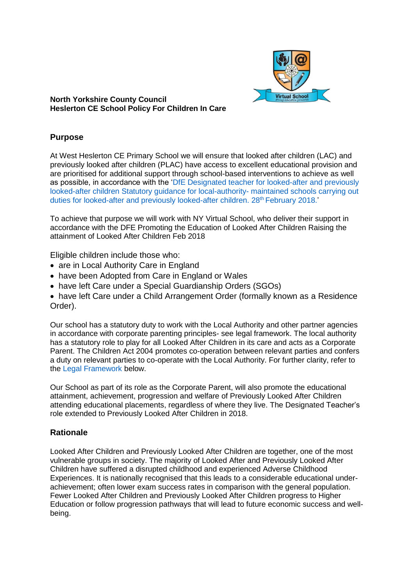

### **North Yorkshire County Council Heslerton CE School Policy For Children In Care**

# **Purpose**

At West Heslerton CE Primary School we will ensure that looked after children (LAC) and previously looked after children (PLAC) have access to excellent educational provision and are prioritised for additional support through school-based interventions to achieve as well as possible, in accordance with the 'DfE Designated teacher for looked-after and previously looked-after children Statutory guidance for local-authority- maintained schools carrying out duties for looked-after and previously looked-after children. 28<sup>th</sup> February 2018.'

To achieve that purpose we will work with NY Virtual School, who deliver their support in accordance with the DFE Promoting the Education of Looked After Children Raising the attainment of Looked After Children Feb 2018

Eligible children include those who:

- are in Local Authority Care in England
- have been Adopted from Care in England or Wales
- have left Care under a Special Guardianship Orders (SGOs)
- have left Care under a Child Arrangement Order (formally known as a Residence Order).

Our school has a statutory duty to work with the Local Authority and other partner agencies in accordance with corporate parenting principles- see legal framework. The local authority has a statutory role to play for all Looked After Children in its care and acts as a Corporate Parent. The Children Act 2004 promotes co-operation between relevant parties and confers a duty on relevant parties to co-operate with the Local Authority. For further clarity, refer to the Legal Framework below.

Our School as part of its role as the Corporate Parent, will also promote the educational attainment, achievement, progression and welfare of Previously Looked After Children attending educational placements, regardless of where they live. The Designated Teacher's role extended to Previously Looked After Children in 2018.

## **Rationale**

Looked After Children and Previously Looked After Children are together, one of the most vulnerable groups in society. The majority of Looked After and Previously Looked After Children have suffered a disrupted childhood and experienced Adverse Childhood Experiences. It is nationally recognised that this leads to a considerable educational underachievement; often lower exam success rates in comparison with the general population. Fewer Looked After Children and Previously Looked After Children progress to Higher Education or follow progression pathways that will lead to future economic success and wellbeing.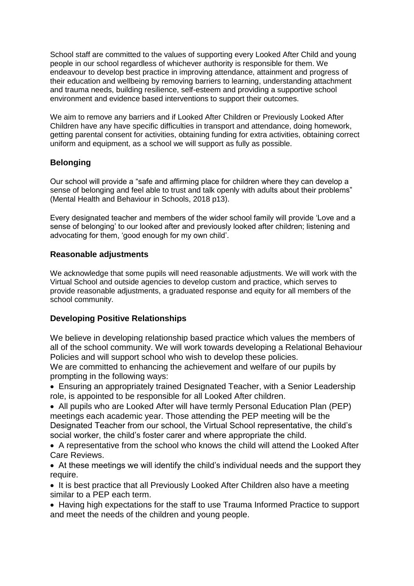School staff are committed to the values of supporting every Looked After Child and young people in our school regardless of whichever authority is responsible for them. We endeavour to develop best practice in improving attendance, attainment and progress of their education and wellbeing by removing barriers to learning, understanding attachment and trauma needs, building resilience, self-esteem and providing a supportive school environment and evidence based interventions to support their outcomes.

We aim to remove any barriers and if Looked After Children or Previously Looked After Children have any have specific difficulties in transport and attendance, doing homework, getting parental consent for activities, obtaining funding for extra activities, obtaining correct uniform and equipment, as a school we will support as fully as possible.

# **Belonging**

Our school will provide a "safe and affirming place for children where they can develop a sense of belonging and feel able to trust and talk openly with adults about their problems" (Mental Health and Behaviour in Schools, 2018 p13).

Every designated teacher and members of the wider school family will provide 'Love and a sense of belonging' to our looked after and previously looked after children; listening and advocating for them, 'good enough for my own child'.

## **Reasonable adjustments**

We acknowledge that some pupils will need reasonable adjustments. We will work with the Virtual School and outside agencies to develop custom and practice, which serves to provide reasonable adjustments, a graduated response and equity for all members of the school community.

## **Developing Positive Relationships**

We believe in developing relationship based practice which values the members of all of the school community. We will work towards developing a Relational Behaviour Policies and will support school who wish to develop these policies.

We are committed to enhancing the achievement and welfare of our pupils by prompting in the following ways:

• Ensuring an appropriately trained Designated Teacher, with a Senior Leadership role, is appointed to be responsible for all Looked After children.

• All pupils who are Looked After will have termly Personal Education Plan (PEP) meetings each academic year. Those attending the PEP meeting will be the Designated Teacher from our school, the Virtual School representative, the child's social worker, the child's foster carer and where appropriate the child.

• A representative from the school who knows the child will attend the Looked After Care Reviews.

• At these meetings we will identify the child's individual needs and the support they require.

• It is best practice that all Previously Looked After Children also have a meeting similar to a PEP each term.

• Having high expectations for the staff to use Trauma Informed Practice to support and meet the needs of the children and young people.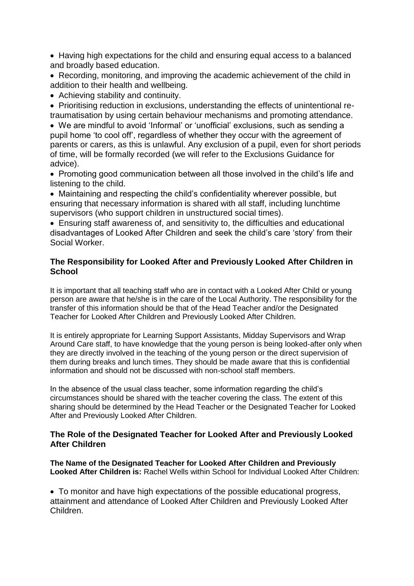• Having high expectations for the child and ensuring equal access to a balanced and broadly based education.

• Recording, monitoring, and improving the academic achievement of the child in addition to their health and wellbeing.

• Achieving stability and continuity.

• Prioritising reduction in exclusions, understanding the effects of unintentional retraumatisation by using certain behaviour mechanisms and promoting attendance.

• We are mindful to avoid 'Informal' or 'unofficial' exclusions, such as sending a pupil home 'to cool off', regardless of whether they occur with the agreement of parents or carers, as this is unlawful. Any exclusion of a pupil, even for short periods of time, will be formally recorded (we will refer to the Exclusions Guidance for advice).

• Promoting good communication between all those involved in the child's life and listening to the child.

• Maintaining and respecting the child's confidentiality wherever possible, but ensuring that necessary information is shared with all staff, including lunchtime supervisors (who support children in unstructured social times).

• Ensuring staff awareness of, and sensitivity to, the difficulties and educational disadvantages of Looked After Children and seek the child's care 'story' from their Social Worker.

### **The Responsibility for Looked After and Previously Looked After Children in School**

It is important that all teaching staff who are in contact with a Looked After Child or young person are aware that he/she is in the care of the Local Authority. The responsibility for the transfer of this information should be that of the Head Teacher and/or the Designated Teacher for Looked After Children and Previously Looked After Children.

It is entirely appropriate for Learning Support Assistants, Midday Supervisors and Wrap Around Care staff, to have knowledge that the young person is being looked-after only when they are directly involved in the teaching of the young person or the direct supervision of them during breaks and lunch times. They should be made aware that this is confidential information and should not be discussed with non-school staff members.

In the absence of the usual class teacher, some information regarding the child's circumstances should be shared with the teacher covering the class. The extent of this sharing should be determined by the Head Teacher or the Designated Teacher for Looked After and Previously Looked After Children.

#### **The Role of the Designated Teacher for Looked After and Previously Looked After Children**

**The Name of the Designated Teacher for Looked After Children and Previously Looked After Children is:** Rachel Wells within School for Individual Looked After Children:

• To monitor and have high expectations of the possible educational progress, attainment and attendance of Looked After Children and Previously Looked After Children.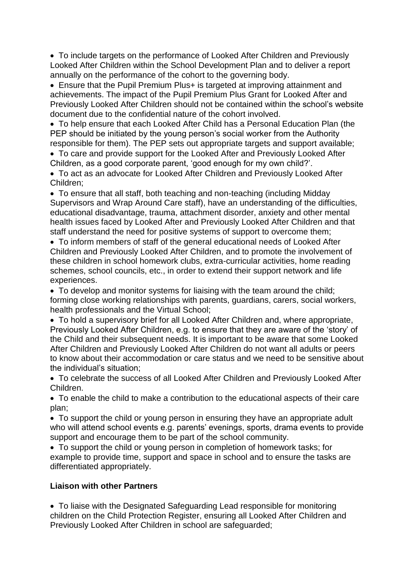• To include targets on the performance of Looked After Children and Previously Looked After Children within the School Development Plan and to deliver a report annually on the performance of the cohort to the governing body.

• Ensure that the Pupil Premium Plus+ is targeted at improving attainment and achievements. The impact of the Pupil Premium Plus Grant for Looked After and Previously Looked After Children should not be contained within the school's website document due to the confidential nature of the cohort involved.

• To help ensure that each Looked After Child has a Personal Education Plan (the PEP should be initiated by the young person's social worker from the Authority responsible for them). The PEP sets out appropriate targets and support available;

• To care and provide support for the Looked After and Previously Looked After Children, as a good corporate parent, 'good enough for my own child?'.

• To act as an advocate for Looked After Children and Previously Looked After Children;

• To ensure that all staff, both teaching and non-teaching (including Midday Supervisors and Wrap Around Care staff), have an understanding of the difficulties, educational disadvantage, trauma, attachment disorder, anxiety and other mental health issues faced by Looked After and Previously Looked After Children and that staff understand the need for positive systems of support to overcome them;

• To inform members of staff of the general educational needs of Looked After Children and Previously Looked After Children, and to promote the involvement of these children in school homework clubs, extra-curricular activities, home reading schemes, school councils, etc., in order to extend their support network and life experiences.

• To develop and monitor systems for liaising with the team around the child; forming close working relationships with parents, guardians, carers, social workers, health professionals and the Virtual School;

• To hold a supervisory brief for all Looked After Children and, where appropriate, Previously Looked After Children, e.g. to ensure that they are aware of the 'story' of the Child and their subsequent needs. It is important to be aware that some Looked After Children and Previously Looked After Children do not want all adults or peers to know about their accommodation or care status and we need to be sensitive about the individual's situation;

• To celebrate the success of all Looked After Children and Previously Looked After Children.

• To enable the child to make a contribution to the educational aspects of their care plan;

• To support the child or young person in ensuring they have an appropriate adult who will attend school events e.g. parents' evenings, sports, drama events to provide support and encourage them to be part of the school community.

• To support the child or young person in completion of homework tasks; for example to provide time, support and space in school and to ensure the tasks are differentiated appropriately.

## **Liaison with other Partners**

• To liaise with the Designated Safeguarding Lead responsible for monitoring children on the Child Protection Register, ensuring all Looked After Children and Previously Looked After Children in school are safeguarded;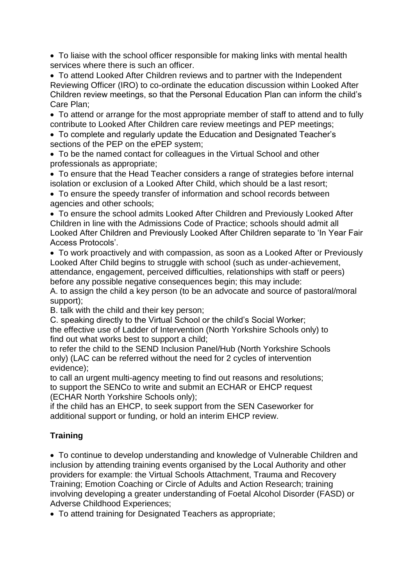• To liaise with the school officer responsible for making links with mental health services where there is such an officer.

• To attend Looked After Children reviews and to partner with the Independent Reviewing Officer (IRO) to co-ordinate the education discussion within Looked After Children review meetings, so that the Personal Education Plan can inform the child's Care Plan;

• To attend or arrange for the most appropriate member of staff to attend and to fully contribute to Looked After Children care review meetings and PEP meetings;

• To complete and regularly update the Education and Designated Teacher's sections of the PEP on the ePEP system;

• To be the named contact for colleagues in the Virtual School and other professionals as appropriate;

• To ensure that the Head Teacher considers a range of strategies before internal isolation or exclusion of a Looked After Child, which should be a last resort;

• To ensure the speedy transfer of information and school records between agencies and other schools;

• To ensure the school admits Looked After Children and Previously Looked After Children in line with the Admissions Code of Practice; schools should admit all Looked After Children and Previously Looked After Children separate to 'In Year Fair Access Protocols'.

• To work proactively and with compassion, as soon as a Looked After or Previously Looked After Child begins to struggle with school (such as under-achievement, attendance, engagement, perceived difficulties, relationships with staff or peers) before any possible negative consequences begin; this may include:

A. to assign the child a key person (to be an advocate and source of pastoral/moral support);

B. talk with the child and their key person;

C. speaking directly to the Virtual School or the child's Social Worker;

the effective use of Ladder of Intervention (North Yorkshire Schools only) to find out what works best to support a child;

to refer the child to the SEND Inclusion Panel/Hub (North Yorkshire Schools only) (LAC can be referred without the need for 2 cycles of intervention evidence);

to call an urgent multi-agency meeting to find out reasons and resolutions; to support the SENCo to write and submit an ECHAR or EHCP request (ECHAR North Yorkshire Schools only);

if the child has an EHCP, to seek support from the SEN Caseworker for additional support or funding, or hold an interim EHCP review.

# **Training**

• To continue to develop understanding and knowledge of Vulnerable Children and inclusion by attending training events organised by the Local Authority and other providers for example: the Virtual Schools Attachment, Trauma and Recovery Training; Emotion Coaching or Circle of Adults and Action Research; training involving developing a greater understanding of Foetal Alcohol Disorder (FASD) or Adverse Childhood Experiences;

• To attend training for Designated Teachers as appropriate;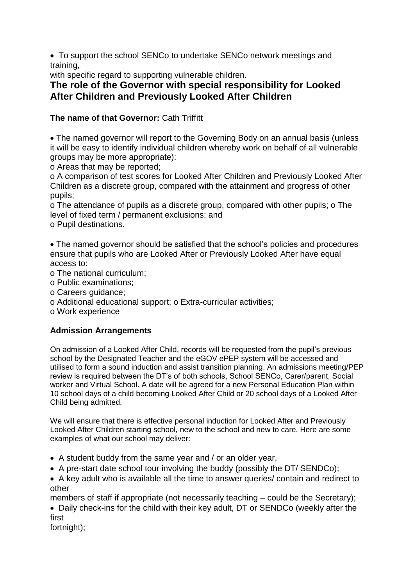• To support the school SENCo to undertake SENCo network meetings and training,

with specific regard to supporting vulnerable children.

# **The role of the Governor with special responsibility for Looked After Children and Previously Looked After Children**

# **The name of that Governor:** Cath Triffitt

• The named governor will report to the Governing Body on an annual basis (unless it will be easy to identify individual children whereby work on behalf of all vulnerable groups may be more appropriate):

o Areas that may be reported;

o A comparison of test scores for Looked After Children and Previously Looked After Children as a discrete group, compared with the attainment and progress of other pupils;

o The attendance of pupils as a discrete group, compared with other pupils; o The level of fixed term / permanent exclusions; and

o Pupil destinations.

• The named governor should be satisfied that the school's policies and procedures ensure that pupils who are Looked After or Previously Looked After have equal access to:

o The national curriculum;

- o Public examinations;
- o Careers guidance;
- o Additional educational support; o Extra-curricular activities;

o Work experience

# **Admission Arrangements**

On admission of a Looked After Child, records will be requested from the pupil's previous school by the Designated Teacher and the eGOV ePEP system will be accessed and utilised to form a sound induction and assist transition planning. An admissions meeting/PEP review is required between the DT's of both schools, School SENCo, Carer/parent, Social worker and Virtual School. A date will be agreed for a new Personal Education Plan within 10 school days of a child becoming Looked After Child or 20 school days of a Looked After Child being admitted.

We will ensure that there is effective personal induction for Looked After and Previously Looked After Children starting school, new to the school and new to care. Here are some examples of what our school may deliver:

- A student buddy from the same year and / or an older year,
- A pre-start date school tour involving the buddy (possibly the DT/ SENDCo);

• A key adult who is available all the time to answer queries/ contain and redirect to other

members of staff if appropriate (not necessarily teaching – could be the Secretary);

• Daily check-ins for the child with their key adult, DT or SENDCo (weekly after the first

fortnight);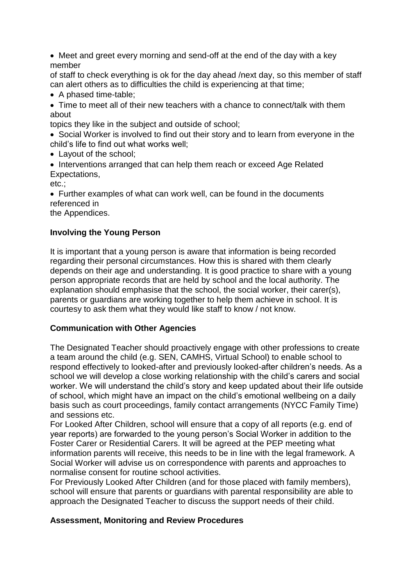• Meet and greet every morning and send-off at the end of the day with a key member

of staff to check everything is ok for the day ahead /next day, so this member of staff can alert others as to difficulties the child is experiencing at that time;

- A phased time-table;
- Time to meet all of their new teachers with a chance to connect/talk with them about

topics they like in the subject and outside of school;

- Social Worker is involved to find out their story and to learn from everyone in the child's life to find out what works well;
- Layout of the school;
- Interventions arranged that can help them reach or exceed Age Related Expectations,

etc.;

• Further examples of what can work well, can be found in the documents referenced in

the Appendices.

## **Involving the Young Person**

It is important that a young person is aware that information is being recorded regarding their personal circumstances. How this is shared with them clearly depends on their age and understanding. It is good practice to share with a young person appropriate records that are held by school and the local authority. The explanation should emphasise that the school, the social worker, their carer(s), parents or guardians are working together to help them achieve in school. It is courtesy to ask them what they would like staff to know / not know.

## **Communication with Other Agencies**

The Designated Teacher should proactively engage with other professions to create a team around the child (e.g. SEN, CAMHS, Virtual School) to enable school to respond effectively to looked-after and previously looked-after children's needs. As a school we will develop a close working relationship with the child's carers and social worker. We will understand the child's story and keep updated about their life outside of school, which might have an impact on the child's emotional wellbeing on a daily basis such as court proceedings, family contact arrangements (NYCC Family Time) and sessions etc.

For Looked After Children, school will ensure that a copy of all reports (e.g. end of year reports) are forwarded to the young person's Social Worker in addition to the Foster Carer or Residential Carers. It will be agreed at the PEP meeting what information parents will receive, this needs to be in line with the legal framework. A Social Worker will advise us on correspondence with parents and approaches to normalise consent for routine school activities.

For Previously Looked After Children (and for those placed with family members), school will ensure that parents or guardians with parental responsibility are able to approach the Designated Teacher to discuss the support needs of their child.

## **Assessment, Monitoring and Review Procedures**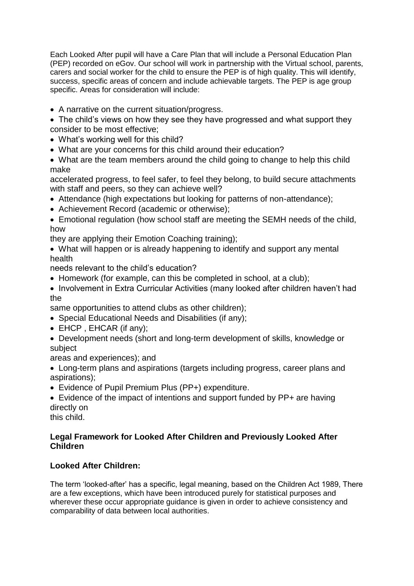Each Looked After pupil will have a Care Plan that will include a Personal Education Plan (PEP) recorded on eGov. Our school will work in partnership with the Virtual school, parents, carers and social worker for the child to ensure the PEP is of high quality. This will identify, success, specific areas of concern and include achievable targets. The PEP is age group specific. Areas for consideration will include:

- A narrative on the current situation/progress.
- The child's views on how they see they have progressed and what support they consider to be most effective;
- What's working well for this child?
- What are your concerns for this child around their education?
- What are the team members around the child going to change to help this child make

accelerated progress, to feel safer, to feel they belong, to build secure attachments with staff and peers, so they can achieve well?

- Attendance (high expectations but looking for patterns of non-attendance);
- Achievement Record (academic or otherwise);
- Emotional regulation (how school staff are meeting the SEMH needs of the child, how

they are applying their Emotion Coaching training);

• What will happen or is already happening to identify and support any mental health

needs relevant to the child's education?

- Homework (for example, can this be completed in school, at a club);
- Involvement in Extra Curricular Activities (many looked after children haven't had the

same opportunities to attend clubs as other children);

- Special Educational Needs and Disabilities (if any);
- EHCP, EHCAR (if any);
- Development needs (short and long-term development of skills, knowledge or subject

areas and experiences); and

- Long-term plans and aspirations (targets including progress, career plans and aspirations);
- Evidence of Pupil Premium Plus (PP+) expenditure.
- Evidence of the impact of intentions and support funded by PP+ are having directly on

this child.

# **Legal Framework for Looked After Children and Previously Looked After Children**

# **Looked After Children:**

The term 'looked-after' has a specific, legal meaning, based on the Children Act 1989, There are a few exceptions, which have been introduced purely for statistical purposes and wherever these occur appropriate guidance is given in order to achieve consistency and comparability of data between local authorities.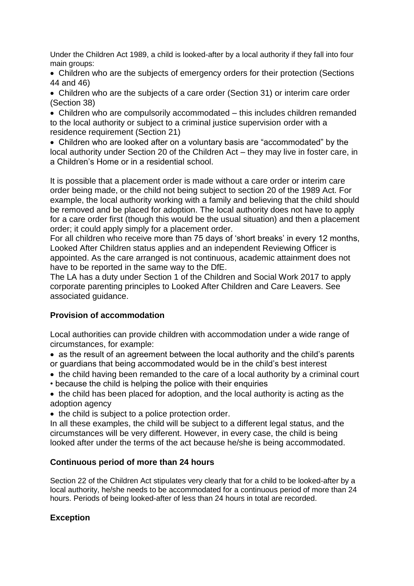Under the Children Act 1989, a child is looked-after by a local authority if they fall into four main groups:

• Children who are the subjects of emergency orders for their protection (Sections 44 and 46)

• Children who are the subjects of a care order (Section 31) or interim care order (Section 38)

• Children who are compulsorily accommodated – this includes children remanded to the local authority or subject to a criminal justice supervision order with a residence requirement (Section 21)

• Children who are looked after on a voluntary basis are "accommodated" by the local authority under Section 20 of the Children Act – they may live in foster care, in a Children's Home or in a residential school.

It is possible that a placement order is made without a care order or interim care order being made, or the child not being subject to section 20 of the 1989 Act. For example, the local authority working with a family and believing that the child should be removed and be placed for adoption. The local authority does not have to apply for a care order first (though this would be the usual situation) and then a placement order; it could apply simply for a placement order.

For all children who receive more than 75 days of 'short breaks' in every 12 months, Looked After Children status applies and an independent Reviewing Officer is appointed. As the care arranged is not continuous, academic attainment does not have to be reported in the same way to the DfE.

The LA has a duty under Section 1 of the Children and Social Work 2017 to apply corporate parenting principles to Looked After Children and Care Leavers. See associated guidance.

## **Provision of accommodation**

Local authorities can provide children with accommodation under a wide range of circumstances, for example:

• as the result of an agreement between the local authority and the child's parents or guardians that being accommodated would be in the child's best interest

- the child having been remanded to the care of a local authority by a criminal court
- because the child is helping the police with their enquiries
- the child has been placed for adoption, and the local authority is acting as the adoption agency
- the child is subject to a police protection order.

In all these examples, the child will be subject to a different legal status, and the circumstances will be very different. However, in every case, the child is being looked after under the terms of the act because he/she is being accommodated.

# **Continuous period of more than 24 hours**

Section 22 of the Children Act stipulates very clearly that for a child to be looked-after by a local authority, he/she needs to be accommodated for a continuous period of more than 24 hours. Periods of being looked-after of less than 24 hours in total are recorded.

# **Exception**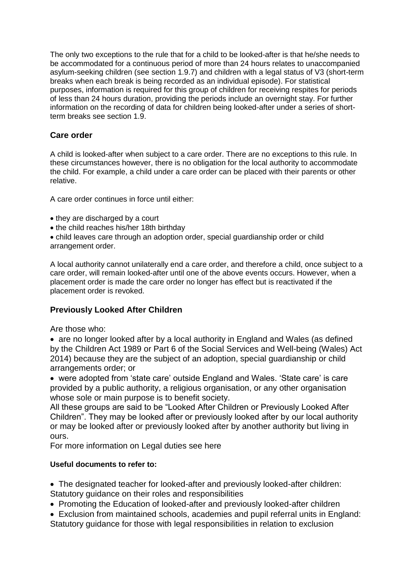The only two exceptions to the rule that for a child to be looked-after is that he/she needs to be accommodated for a continuous period of more than 24 hours relates to unaccompanied asylum-seeking children (see section 1.9.7) and children with a legal status of V3 (short-term breaks when each break is being recorded as an individual episode). For statistical purposes, information is required for this group of children for receiving respites for periods of less than 24 hours duration, providing the periods include an overnight stay. For further information on the recording of data for children being looked-after under a series of shortterm breaks see section 1.9.

## **Care order**

A child is looked-after when subject to a care order. There are no exceptions to this rule. In these circumstances however, there is no obligation for the local authority to accommodate the child. For example, a child under a care order can be placed with their parents or other relative.

A care order continues in force until either:

- they are discharged by a court
- the child reaches his/her 18th birthday

• child leaves care through an adoption order, special guardianship order or child arrangement order.

A local authority cannot unilaterally end a care order, and therefore a child, once subject to a care order, will remain looked-after until one of the above events occurs. However, when a placement order is made the care order no longer has effect but is reactivated if the placement order is revoked.

# **Previously Looked After Children**

Are those who:

• are no longer looked after by a local authority in England and Wales (as defined by the Children Act 1989 or Part 6 of the Social Services and Well-being (Wales) Act 2014) because they are the subject of an adoption, special guardianship or child arrangements order; or

• were adopted from 'state care' outside England and Wales. 'State care' is care provided by a public authority, a religious organisation, or any other organisation whose sole or main purpose is to benefit society.

All these groups are said to be "Looked After Children or Previously Looked After Children". They may be looked after or previously looked after by our local authority or may be looked after or previously looked after by another authority but living in ours.

For more information on Legal duties see here

## **Useful documents to refer to:**

• The designated teacher for looked-after and previously looked-after children: Statutory guidance on their roles and responsibilities

- Promoting the Education of looked-after and previously looked-after children
- Exclusion from maintained schools, academies and pupil referral units in England: Statutory guidance for those with legal responsibilities in relation to exclusion